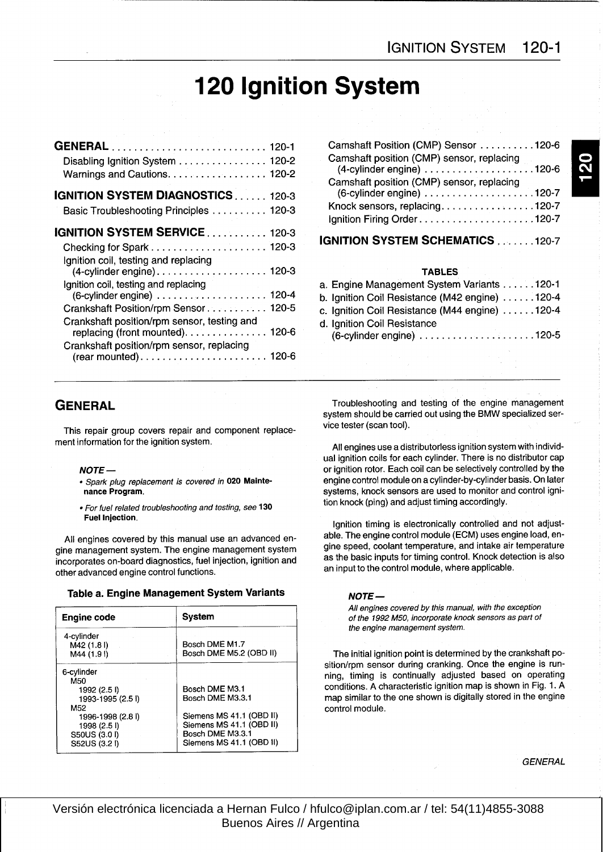# 120 Ignition System

|                                                                                                                      | Camshaft Position (CMP) Sensor 120-6                                                         |
|----------------------------------------------------------------------------------------------------------------------|----------------------------------------------------------------------------------------------|
| Disabling Ignition System 120-2<br>Warnings and Cautions. 120-2                                                      | Camshaft position (CMP) sensor, replacing                                                    |
| <b>IGNITION SYSTEM DIAGNOSTICS 120-3</b><br>Basic Troubleshooting Principles  120-3                                  | Camshaft position (CMP) sensor, replacing<br>Knock sensors, replacing120-7                   |
| <b>IGNITION SYSTEM SERVICE 120-3</b>                                                                                 | IGNITION SYSTEM SCHEMATICS 120-7                                                             |
| Ignition coil, testing and replacing                                                                                 | <b>TABLES</b>                                                                                |
| Ignition coil, testing and replacing                                                                                 | a. Engine Management System Variants 120-1<br>b. Ignition Coil Resistance (M42 engine) 120-4 |
| Crankshaft Position/rpm Sensor 120-5                                                                                 | c. Ignition Coil Resistance (M44 engine) 120-4                                               |
| Crankshaft position/rpm sensor, testing and<br>replacing (front mounted). 120-6                                      | d. Ignition Coil Resistance                                                                  |
| Crankshaft position/rpm sensor, replacing<br>$(rear mounted) \ldots \ldots \ldots \ldots \ldots \ldots \ldots 120-6$ |                                                                                              |
|                                                                                                                      |                                                                                              |

| Camshaft Position (CMP) Sensor 120-6                                         |  |
|------------------------------------------------------------------------------|--|
| Camshaft position (CMP) sensor, replacing<br>$(4$ -cylinder engine $)$ 120-6 |  |
| Camshaft position (CMP) sensor, replacing                                    |  |
| Knock sensors, replacing120-7                                                |  |
|                                                                              |  |
| <b>IGNITION SYSTEM SCHEMATICS 120-7</b>                                      |  |

## TABLES

| a. Engine Management System Variants 120-1     |  |
|------------------------------------------------|--|
| b. Ignition Coil Resistance (M42 engine) 120-4 |  |
| c. Ignition Coil Resistance (M44 engine) 120-4 |  |
| d. Ignition Coil Resistance                    |  |
|                                                |  |
|                                                |  |

This repair group covers repair and component replace- vice tester (scan tool). ment information for the ignition system.

- . Spark plug replacement is covered in 020 Mainte-<br>nance Program.
- $\bullet$  For fuel related troubleshooting and testing, see 130 Fuel lnjection.

gine management system. The engine management system gine speed, coolant temperature, and intake air temperature<br>incorporates an based digenestics, fuel injection, ignition and as the basic inputs for timing control. Knock incorporates on-board diagnostics, fuel injection, ignition and other advanced engine control functions.

#### Table a. Engine Management System Variants

| <b>Engine code</b>                                                                                                                          | System                                                                                                                                     |
|---------------------------------------------------------------------------------------------------------------------------------------------|--------------------------------------------------------------------------------------------------------------------------------------------|
| 4-cylinder<br>M42 (1.8 l)<br>M44 (1.9)                                                                                                      | Bosch DME M1.7<br>Bosch DME M5.2 (OBD II)                                                                                                  |
| 6-cylinder<br>M50<br>1992 (2.5)<br>1993-1995 (2.51)<br>M <sub>52</sub><br>1996-1998 (2.8 l)<br>1998 (2.51)<br>S50US (3.0 I)<br>S52US (3.21) | Bosch DME M3.1<br>Bosch DME M3.3.1<br>Siemens MS 41.1 (OBD II)<br>Siemens MS 41.1 (OBD II)<br>Bosch DME M3.3.1<br>Siemens MS 41.1 (OBD II) |

GENERAL Troubleshooting and testing of the engine management<br>system should be carried out using the BMW specialized ser-

All engines use adistributorless ignition system with indívidual ignition coils for each cylinder. There is no distributor cap NOTE —<br>• Spark plug replacement is covered in 020 Mainte-<br>• Spark plug replacement is covered in 020 Mainte-<br>• Spark plug control module on a cylinder-by-cylinder basis. On later systems, knock sensors are used to monitor and control ignition knock (ping) and adjust timing accordingly.

Ignition timing is electronically controlled and not adjust-<br>able. The engine control module (ECM) uses engine load, en-All engines covered by this manual use an advanced en-<br>able. The engine content avatem The engine management system and engine speed, coolant temperature, and intake air temperature an input to the control module, where applicable .

#### NOTE-

All engines covered by this manual, with the exception of the 1992 M50, incorporate knock sensors as part of the engine management system.

The initial ignition point is determined by the crankshaft position/rpm sensor during cranking. Once the engine is running, timing is continually adjusted based on operating conditions. A characteristic ignition map is shown in Fig. 1. A map similar to the one shown is digitally stored in the engine control module.

**GENERAL**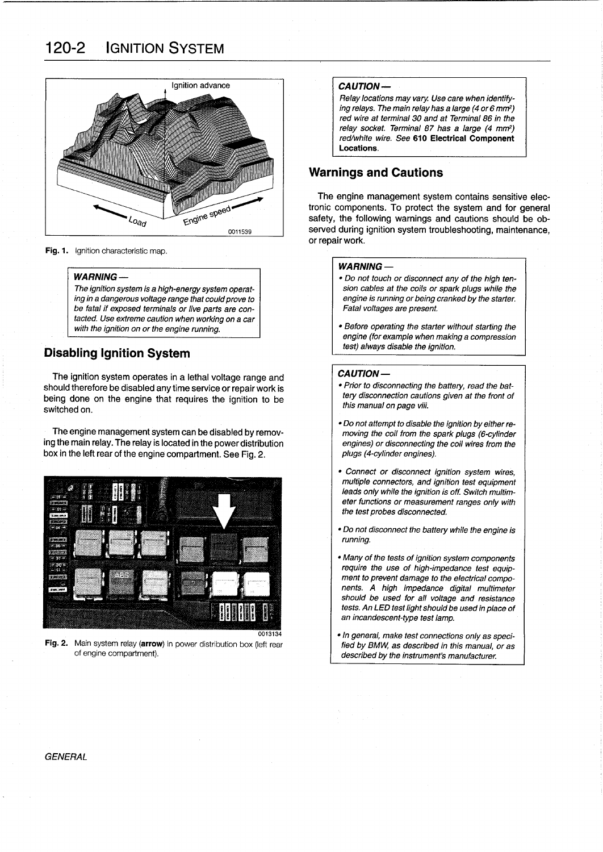# 120-2 IGNITION SYSTEM



Fig. 1. Ignition characteristic map.

#### **WARNING-**

The ignition system is a high-energy system operating in a dangerous voltage range that could prove to be fatal if exposed terminals or live parts are contacted. Use extreme caution when working on a car with the ignition on or the engine running.

# Disabling Ignition System

The ignition system operates in a lethal voltage range and should therefore be disabled any time service or repair work is being done on the engine that requires the ignition to be switched on.

The engine management system can be disabled by removing the main relay . The relay is located in the power distribution box in the left rear of the engine compartment. See Fig. 2.



**Fig. 2.** Main system relay (**arrow**) in power distribution box (left rear of engine compartment).

#### **CAUTION-**

Relay locations may vary. Use care when identifying relays. The main relay has a large (4 or 6 mm<sup>2</sup>) red wire at terminal 30 and at Terminal 86 in the relay socket. Terminal 87 has a large (4 mm<sup>2</sup>) red/white wire. See 610 Electrical Component Locations.

# **Warnings and Cautions**

The engine management system contains sensitive electronic components. To protect the system and for general safety, the following warnings and cautions should be observed during ignition system troubleshooting, maintenance, or repair work.

#### WARNING-

- " Do not touch or disconnect any of the high tension cables at the coils or spark plugs while the engine is running or being cranked by the starter. Fatal voltages are present.
- " Before operating the starter without starting the engine (for example when making a compression test) always disable the ignition.

#### CAUTION-

- " Prior to disconnecting the battery, read the battery disconnection cautions given at the front of this manual on page viii.
- " Donotattempt to disable the ignition byeither removing the coil from the spark plugs (6-cylinder engines) or disconnecting the coll wires from the plugs (4-cylinder engines).
- " Connect or disconnect ignition system wires, multiple connectors, and ignition test equipment leads only while the ignition is off. Switch multimeter functions or measurement ranges onty with the test probes disconnected.
- . Do not disconnect the battery while the engine is running.
- " Many of the tests of ignition system components require the use of high-impedance test equipment to prevent damage to the electrical components. A high impedance digital multimeter should be used for all voltage and resistance tests. An LED test light should be used in place of an incandescent-type test lamp.
- $\bullet$  In general, make test connections only as specified by BMW, as described in this manual, or as described by the instrument's manufacturer.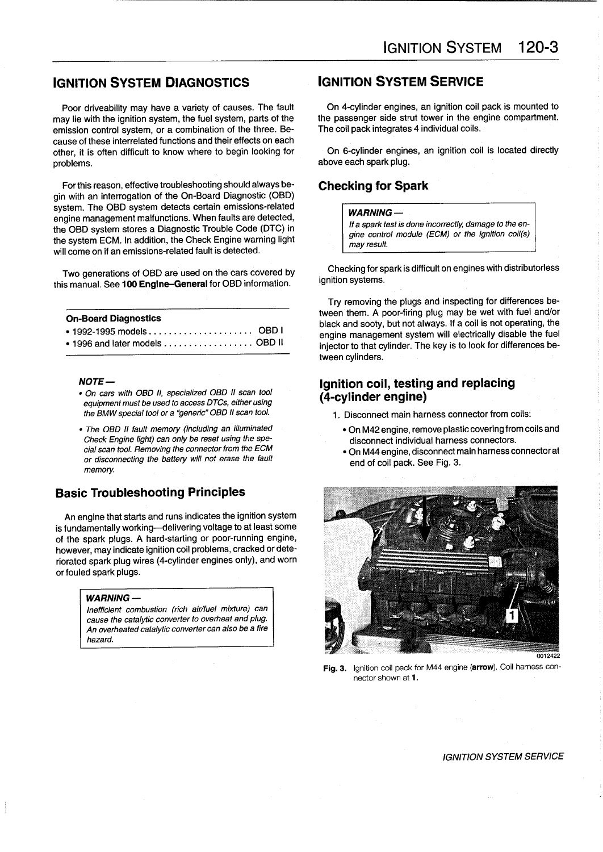# **IGNITION SYSTEM DIAGNOSTICS IGNITION SYSTEM SERVICE**

may lie with the ignition system, the fuel system, parts of the the passenger side strut tower in the engine compartment. The compartment of the three comparison control system, or a compination of the three. Be-<br>The coil emission control system, or a combination of the three. Because of these interrelated functions and their effects on each other, it is often difficult to know where to begin looking for On 6-cylinder engines, an ignition coil is located directly

For this reason, effective troubleshooting should always begin with an interrogation of the On-Board Diagnostic (OBD) system. The OBD system detects certain emissions-related engine management malfunctions . When faults are detected, the OBD system stores a Diagnostic Trouble Code (DTC) in the system ECM. In addition, the Check Engine warning light will come on if an emissions-related fault is detected.

Two generations of OBD are used on the cars covered by this manual. See 100 Engine-General for OBD information.

| <b>On-Board Diagnostics</b>    |  |
|--------------------------------|--|
|                                |  |
| • 1996 and later models OBD II |  |

#### NOTE-

- . On cars with OBD II, specialized OBD II scan tool equipment must be used to access DTCs, either using the BMW special tool or a "generic" OBD II scan tool.
- . The OBD II fault memory (including an illuminated Check Engine light) can only be reset using the special scan tool. Removing the connector from the ECM or dísconnecting the battery will not erase the fault memory.

# Basic Troubleshooting Principies

An engine that starts and runs indicates the ignition system is fundamentally working-delivering voltage to at least some of the spark plugs. A hard-starting or poor-running engine, however, may indicate ignition coil problems, cracked or deteriorated spark plug wires (4-cylinder engines only), and worn or fouled spark plugs.

#### WARNING -

Inefficient combustion (rich air/fuel mixture) can cause the catalytic converter to overheat and plug. An overheated catalytic converter can also be a fire hazard.

Poor driveability may have a variety of causes. The fault Con 4-cylinder engines, an ignition coil pack is mounted to revise to causes. The fault Con 4-cylinder engines, an ignition coil pack is mounted to revise the fuel

above each spark plug.

# Checking for Spark

### $W$ ARNING  $-$

If a spark test is done incorrectly, damage to the engine control module (ECM) or the ignition coil(s) may result.

Checking for spark is difficult on engines with distributorless ignition systems.

Try removing the plugs and inspecting for differences between them. A poor-firing plug may be wet with fuel and/or black and sooty, but not always. If a coil is not operating, the engine management system will electrically disable the fuel injector to that cylinder. The key is to look for differences between cylinders.

# Ignition coil, testing and replacing (4-cylinder engine)

- 1 . Disconnect main harness connector from coils:
	- " On M42engine, remove plastic covering from coils and disconnect individual harness connectors.
	- " On M44 engine, disconnect main harness connectorat end of coil pack. See Fig. 3.



Fig. 3. Ignition coil pack for M44 engine (arrow). Coil harness connector shown at 1 .

IGNITION SYSTEM SERVICE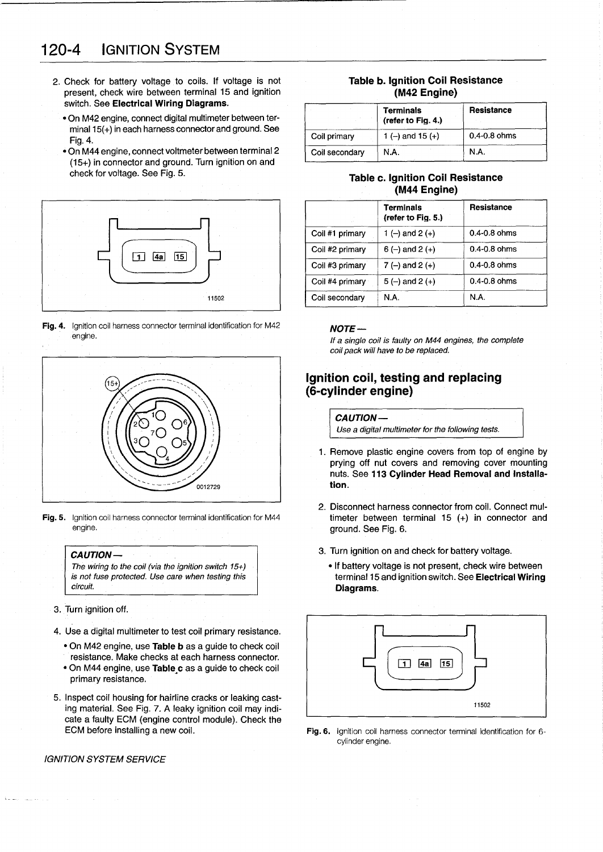# 120-4 IGNITION SYSTEM

- 2. Check for battery voltage to coils. If voltage is not **Table b. Ignition Coil Resistance**<br>
present, check wire between terminal 15 and ignition **Table b. Ignition Coil Resistance** present, check wire between terminal 15 and ignition switch. See Electrical Wiring Diagrams.
	- " On M42 engine, connect digital multimeter between terminal  $15(+)$  in each harness connector and ground. See Fig. 4.
	- " On M44 engine, connect voltmeter between terminal 2 (15+) in connector and ground. Turn ignition on and check for voltage. See Fig. 5.



Fig. 4. Ignition coil harness connector terminal identification for M42 engine .



Fig. 5. Ignition coil harness connector terminal identification for M44 engine.



- 3. Turn ignition off.
- 4. Use a digital multimeter to test coil primary resistance .
	- . On M42 engine, use Table b as a guide to check coil resistance. Make checks at each harness connector.
	- . On M44 engine, use Table c as a guide to check coil primary resistance .
- 5. Inspect coil housing for hairline cracks or leaking casting material. See Fig. 7. A leaky ignition coil may indi- 11502 cate a faulty ECM (engine control module). Check the ECM before installing a new coil.

#### IGNITION SYSTEM SERVICE

|                | <b>Terminals</b><br>(refer to Fig. 4.) | <b>Resistance</b> |
|----------------|----------------------------------------|-------------------|
| Coil primary   | 1 (-) and 15 (+)                       | $0.4 - 0.8$ ohms  |
| Coil secondary | N.A.                                   | N.A.              |

## Table c. Ignition Coil Resistance (M44 Engine)

|                 | <b>Terminals</b><br>(refer to Fig. 5.) | <b>Resistance</b> |
|-----------------|----------------------------------------|-------------------|
| Coil #1 primary | 1 (-) and 2 (+)                        | $0.4 - 0.8$ ohms  |
| Coil #2 primary | $6(-)$ and $2(+)$                      | $0.4 - 0.8$ ohms  |
| Coil #3 primary | $7(-)$ and $2 (+)$                     | $0.4 - 0.8$ ohms  |
| Coil #4 primary | $5(-)$ and $2(+)$                      | $0.4 - 0.8$ ohms  |
| Coil secondary  | N.A.                                   | N.A.              |

### $NOTE-$

If a single coil ís faulty on M44 engines, the complete coil pack will have to be replaced.

# Ignition coil, testing and replacing (6-cylinder engine)

CAUTION-

Use a digital multimeter for the following tests.

- 1 . Remove plastic engine covers from top of engine by prying off nut covers and removing cover mounting nuts. See 113 Cylinder Head Removal and Installation.
- 2. Disconnect harness connector from coil. Connect multimeter between terminal 15 (+) in connector and ground . See Fig. 6.
- 3. Turn ignition on and check for battery voltage.
	- . If battery voltage is not present, check wire between terminal 15 and ignition switch. See Electrical Wiring Diagrams.



Fig. 6. Ignition coil harness connector terminal identification for 6cylinder engine.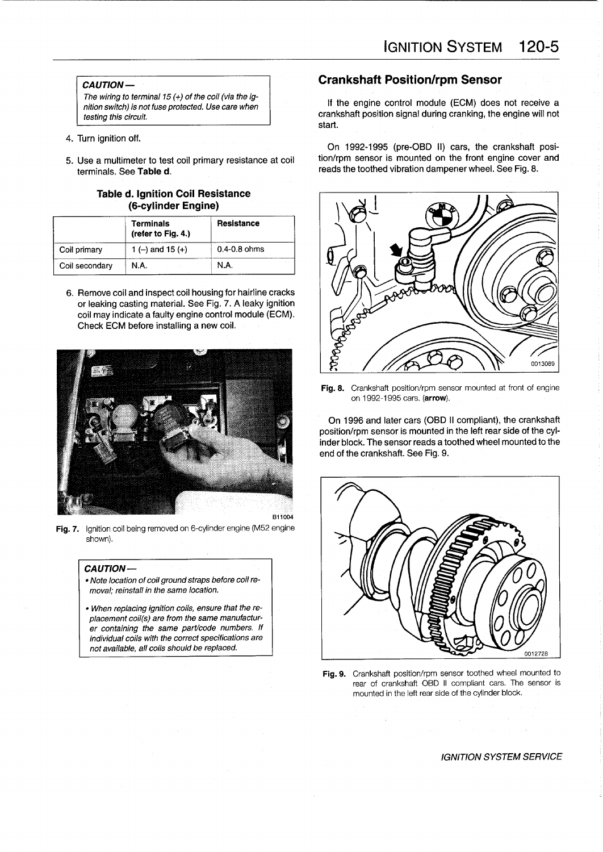### CAUTION-

The wiring to terminal 15  $(+)$  of the coil (via the ignition switch) is not fuse protected. Use care when testíng this circuit.

- 4. Turn ignition off.
- 5. Use a multimeter to test coil primary resistance at coil terminals. See Table d.

### **Table d. Ignition Coil Resistance** (6-cylinder Engine)

|                | Terminals<br>(refer to Fig. 4.) | <b>Resistance</b> |
|----------------|---------------------------------|-------------------|
| Coil primary   | 1 (-) and 15 (+)                | $0.4 - 0.8$ ohms  |
| Coil secondary | N.A.                            | N.A.              |

6. Remove coil and inspect coil housing for hairline cracks or leaking casting material. See Fig. 7. A leaky ignition coil may indícate afaulty engine control module (ECM). Check ECM before installing <sup>a</sup> new coil .



Fig. 7. Ignition coil being removed on 6-cylinder engine (M52 engine shown)

#### CAUTION-

- . Note location of coil ground straps before coil removal; reinstall in the same location.
- " When replacing ignition coils, ensure that the replacement coil(s) are from the same manufacturer containing the same part/code numbers. If individual coils with the correct specifications are not available, all coils should be replaced.

# Crankshaft Position/rpm Sensor

If the engine control module (ECM) does not receive a crankshaft position signal during cranking, the engine will not start.

On 1992-1995 (pre-OBD II) cars, the crankshaft position/rpm sensor is mounted on the front engine cover and reads the toothed vibration dampener wheel. See Fig. 8.



Fig. 8. Crankshaft position/rpm sensor mounted at front of engine on 1992-1995 cars . (arrow).

On 1996 and later cars (OBD II compliant), the crankshaft position/rpm sensor is mounted in the left rear side of the cylinder block. The sensor reads a toothed wheel mounted to the end of the crankshaft. See Fig. 9.



Fig. 9. Crankshaft position/rpm sensor toothed wheel mounted to rear of crankshaft OBD II compliant cars The sensor is mounted in the left rear side of the cylinder block.

# IGNITION SYSTEM SERVICE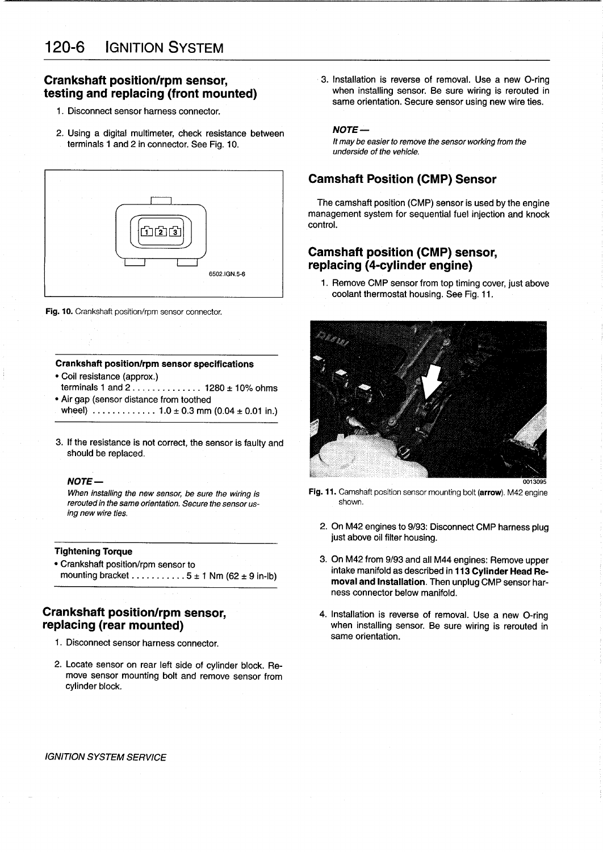# Crankshaft position/rpm sensor, testing and replacing (front mounted)

- <sup>1</sup> . Disconnect sensor harness connector.
- 2. Using a digital multimeter, check resistance between terminals <sup>1</sup> and 2 in connector. See Fig. 10.



Fig. 10. Crankshaft position/rpm sensor connector.

#### Crankshaft position/rpm sensor specifications

- Coil resistance (approx.) terminais <sup>1</sup> and 2 . . . . . . . . . . . . . . 1280 ± 10% ohms
- Air gap (sensor distance from toothed wheel)  $\ldots$  . . . . . . . . . . 1.0  $\pm$  0.3 mm (0.04  $\pm$  0.01 in.)
- 3. If the resistance is not correct, the sensor is faulty and should be replaced.

#### NOTE-

When installing the new sensor, be sure the wiring is rerouted in the same orientation. Secure the sensor using new wire ties.

### Tightening Torque

" Crankshaft position/rpm sensor to mounting bracket  $\dots \dots \dots 5 \pm 1$  Nm (62  $\pm$  9 in-lb)

- 1 . Disconnect sensor harness connector.
- 2. Locate sensor on rear left side of cylinder block. Remove sensor mounting bolt and remove sensor from cylinder block.

3. Installation is reverse of removal. Use a new O-ring when installing sensor. Be sure wiring is rerouted in same orientation. Secure sensor using new wire ties.

### NOTE-

It maybe easier to remove the sensor working from the underside of the vehicle.

# Camshaft Position (CMP) Sensor

The camshaft position (CMP) sensor is used by the engine management system for sequential fuel injection and knock control.

# Camshaft position (CMP) sensor, replacing (4-cylinder engine)

<sup>1</sup> . Remove CMP sensor from top timing cover, just above coolant thermostat housing. See Fig. 11.



- Fig. 11. Camshaft position sensor mounting bolt (arrow). M42 engine shown.
	- 2. On M42 engines to 9/93: Disconnect CMP harness plug just above oil filter housing.
	- 3. On M42 from 9/93 and all M44 engines: Remove upper intake manifold as described in 113 Cylinder Head Removal and Installation. Then unplug CMP sensor harness connector below manifold.
- **Crankshaft position/rpm sensor,** 4. Installation is reverse of removal. Use a new O-ring **replacing (rear mounted)** when installing sensor. Be sure wiring is rerouted in same orientation.

#### IGNITION SYSTEM SERVICE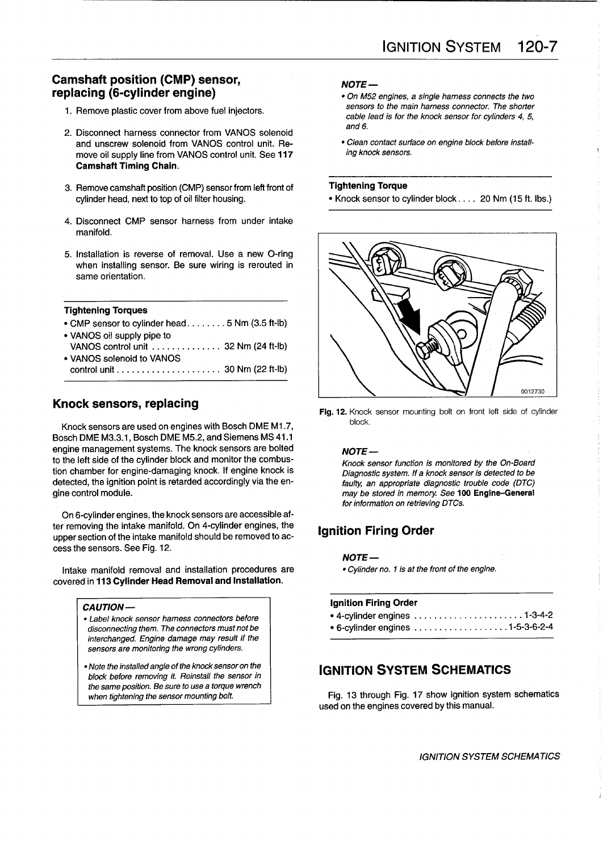# Camshaft position (CMP) sensor, replacing (6-cylinder engine)

- 1. Remove plastic cover from above fuel injectors.
- 2. Disconnect harness connector from VANOS solenoid and unscrew solenoid from VANOS control unit. Re-<br>move oil supply line from VANOS control unit See 117 *ing knock sensors*. move oil supply line from VANOS control unit. See 117 Camshaft Timing Chain .
- 3. Remove camshaft position (CMP) sensor from left front of
- 4. Disconnect CMP sensor harness from under intake manifold.
- 5. Installation is reverse of removal . Use a new O-ring when installing sensor. Be sure wiring is rerouted in same orientation.

#### Tightening Torques

- CMP sensor to cylinder head . . . . . . . . 5 Nm (3.5 ft-lb) " VANOS oil supply pipe to
- VANOS control unit . . . . . . . . . . . . . . 32 Nm (24 ft-Ib) . VANOS solenoid to VANOS control unit . . . . . . . . . . . . . . . . . . . . . 30 Nm (22 ft-Ib)

# Knock sensors, replacing

Knock sensors are used on engines with Bosch DME M1 .7, Bosch DME M3.3 .1, Bosch DME M5.2, and Siemens MS <sup>41</sup> .1 engine management systems. The knock sensors are bolted to the left side of the cylinder block and monitor the combustion chamber for engine-damaging knock. If engine knock is detected, the ignition point is retarded accordingly via the engine control module.

On 6-cylinder engines, the knock sensors are accessible after removing the intake manifold. On 4-cylinder engines, the upper section of the intake manifold should be removed to access the sensors. See Fig. 12.

Intake manifold removal and installation procedures are covered in 113 Cylinder Head Removal and Installation .

#### CAUTION-

- " Label knock sensor harness connectors before disconnecting them. The connectors must not be interchanged. Engine damage may result if the sensors are monitoring the wrong cylinders.
- . Note the installed angle of the knock sensor on the block before removing it. Reinstall the sensor in the same position. Be sure to use a torque wrench when tightening the sensor mounting bolt.

# $NOTE -$

- " On M52 engines, a single harness connects the two sensors to the main harness connector. The shorter cable lead is for the knock sensor for cylinders 4, 5, and 6.
- 

#### Tightening Torque

• Knock sensor to cylinder block . . . . 20 Nm (15 ft. lbs.)



Fig. 12. Knock sensor mounting bolt on front left side of cylinder block

#### NOTE-

Knock sensor function is monitored by the On-Board Diagnostic system. If a knock sensor is detected to be faulty, an appropriate diagnostic trouble code (DTC) may be stored in memory. See 100 Engine-General for information on retrieving DTCs.

# Ignition Firing Order

**NOTE** —<br>• Cylinder no. 1 is at the front of the engine.

| <b>Ignition Firing Order</b>                                                            |  |
|-----------------------------------------------------------------------------------------|--|
| $\bullet$ 4-cylinder engines $\ldots \ldots \ldots \ldots \ldots \ldots \ldots 1-3-4-2$ |  |
| • 6-cylinder engines 1-5-3-6-2-4                                                        |  |

# IGNITION SYSTEM SCHEMATICS

Fig. 13 through Fig. 17 show ignition system schematics used on the engines covered by this manual.

IGNITION SYSTEM SCHEMATICS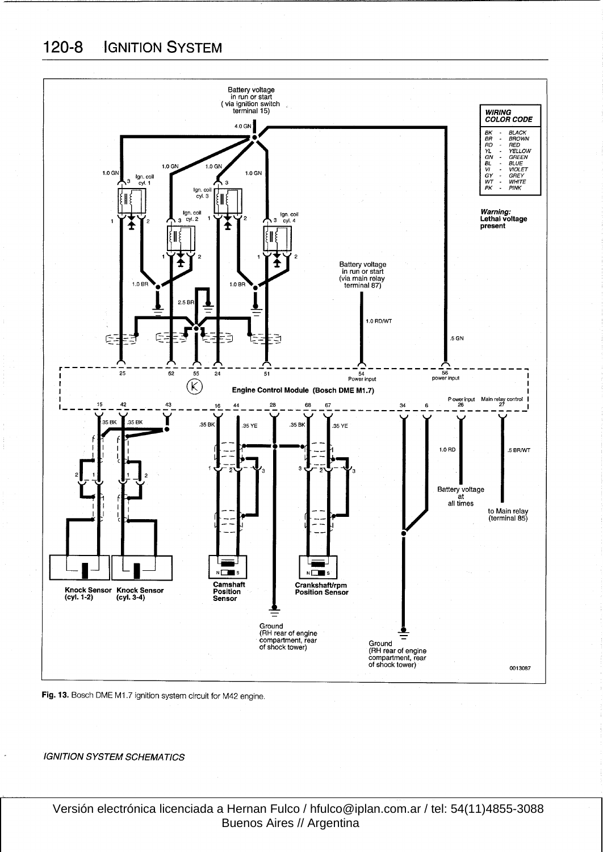120-8 IGNITION SYSTEM



Fig. 13. Bosch DME M1.7 ignition system circuit for M42 engine.

IGNITION SYSTEM SCHEMATICS

 Versión electrónica licenciada a Hernan Fulco / hfulco@iplan.com.ar / tel: 54(11)4855-3088 Buenos Aires // Argentina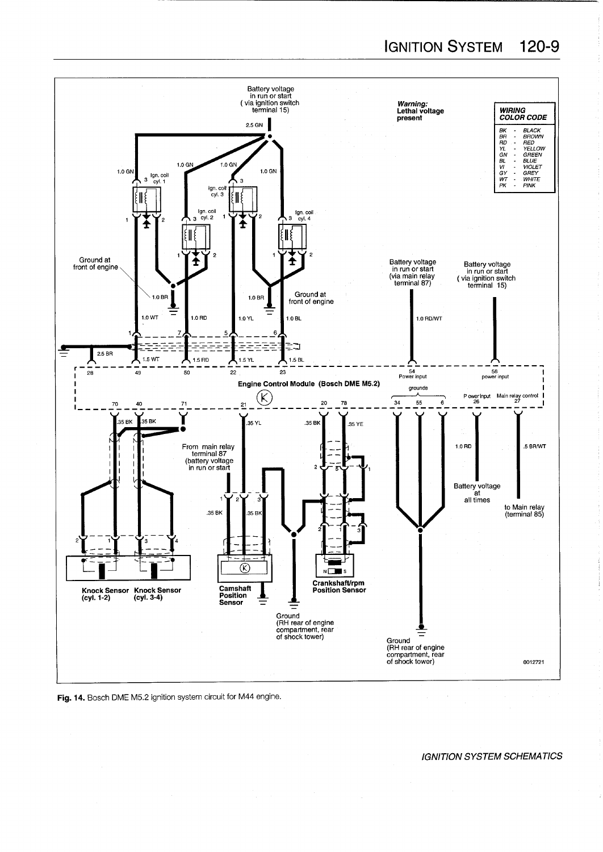

Fig. 14. Bosch DME M5.2 ignition system circuit for M44 engine.

### lGNITION SYSTEM SCHEMATlCS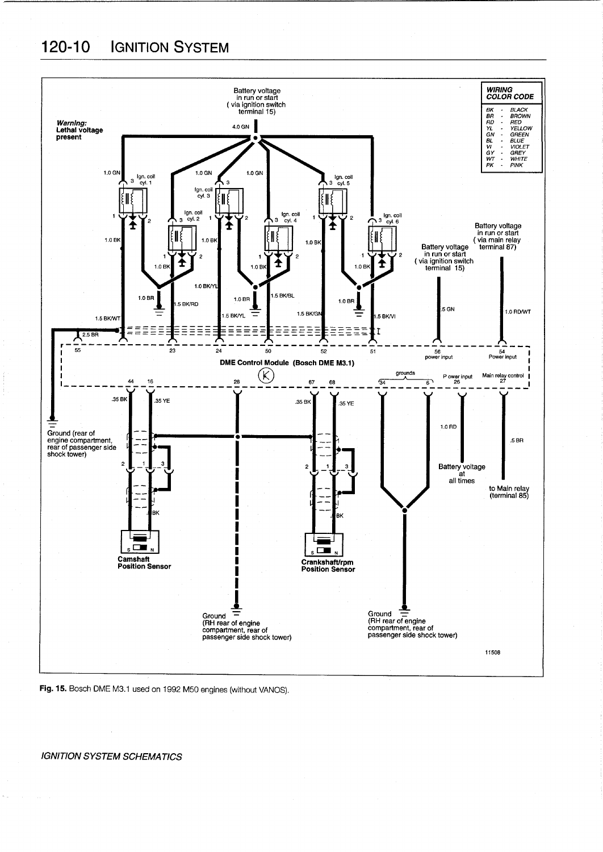# 120-10 IGNITION SYSTEM





#### IGNITION SYSTEM SCHEMATICS

 $\tilde{\chi}_{\rm{max}}$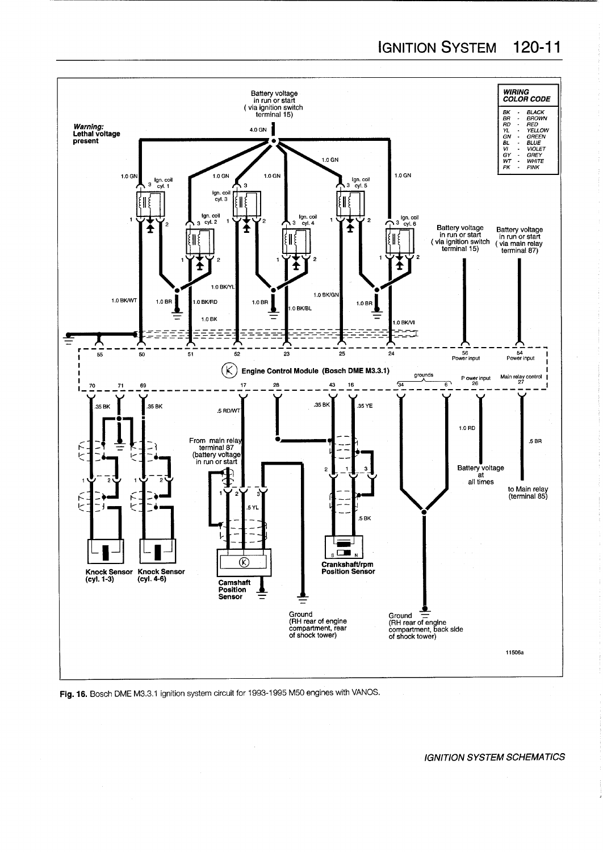IGNITION SYSTEM 120-11



Fig. 16. Bosch DME M3.3.1 ignition system circuit for 1993-1995 M50 engines with VANOS.